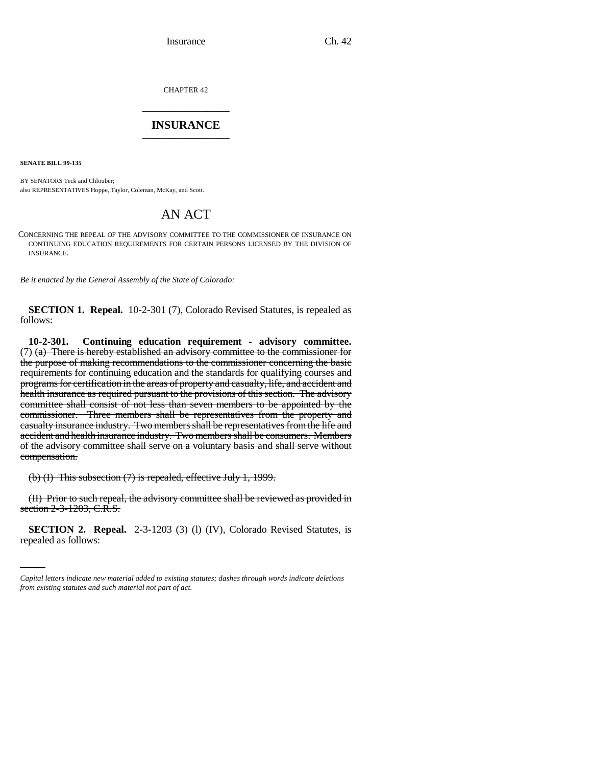CHAPTER 42 \_\_\_\_\_\_\_\_\_\_\_\_\_\_\_

## **INSURANCE** \_\_\_\_\_\_\_\_\_\_\_\_\_\_\_

**SENATE BILL 99-135** 

BY SENATORS Teck and Chlouber; also REPRESENTATIVES Hoppe, Taylor, Coleman, McKay, and Scott.

## AN ACT

CONCERNING THE REPEAL OF THE ADVISORY COMMITTEE TO THE COMMISSIONER OF INSURANCE ON CONTINUING EDUCATION REQUIREMENTS FOR CERTAIN PERSONS LICENSED BY THE DIVISION OF INSURANCE.

*Be it enacted by the General Assembly of the State of Colorado:*

**SECTION 1. Repeal.** 10-2-301 (7), Colorado Revised Statutes, is repealed as follows:

**10-2-301. Continuing education requirement - advisory committee.** (7) (a) There is hereby established an advisory committee to the commissioner for the purpose of making recommendations to the commissioner concerning the basic requirements for continuing education and the standards for qualifying courses and programs for certification in the areas of property and casualty, life, and accident and health insurance as required pursuant to the provisions of this section. The advisory committee shall consist of not less than seven members to be appointed by the commissioner. Three members shall be representatives from the property and casualty insurance industry. Two members shall be representatives from the life and accident and health insurance industry. Two members shall be consumers. Members of the advisory committee shall serve on a voluntary basis and shall serve without compensation.

(b) (I) This subsection (7) is repealed, effective July 1, 1999.

section 2-3-1203, C.R.S. (II) Prior to such repeal, the advisory committee shall be reviewed as provided in

**SECTION 2. Repeal.** 2-3-1203 (3) (1) (IV), Colorado Revised Statutes, is repealed as follows:

*Capital letters indicate new material added to existing statutes; dashes through words indicate deletions from existing statutes and such material not part of act.*